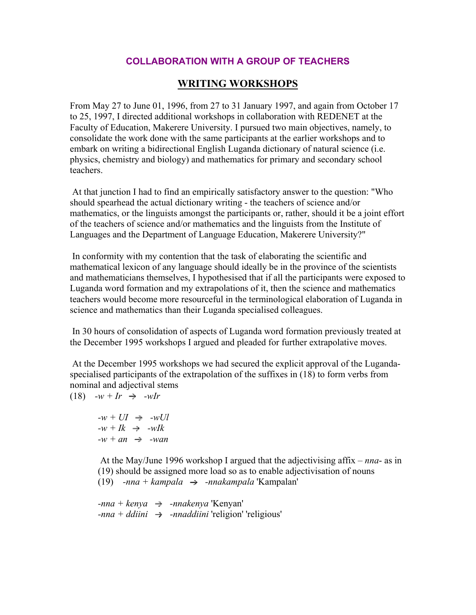## **COLLABORATION WITH A GROUP OF TEACHERS**

## **WRITING WORKSHOPS**

From May 27 to June 01, 1996, from 27 to 31 January 1997, and again from October 17 to 25, 1997, I directed additional workshops in collaboration with REDENET at the Faculty of Education, Makerere University. I pursued two main objectives, namely, to consolidate the work done with the same participants at the earlier workshops and to embark on writing a bidirectional English Luganda dictionary of natural science (i.e. physics, chemistry and biology) and mathematics for primary and secondary school teachers.

 At that junction I had to find an empirically satisfactory answer to the question: "Who should spearhead the actual dictionary writing - the teachers of science and/or mathematics, or the linguists amongst the participants or, rather, should it be a joint effort of the teachers of science and/or mathematics and the linguists from the Institute of Languages and the Department of Language Education, Makerere University?"

 In conformity with my contention that the task of elaborating the scientific and mathematical lexicon of any language should ideally be in the province of the scientists and mathematicians themselves, I hypothesised that if all the participants were exposed to Luganda word formation and my extrapolations of it, then the science and mathematics teachers would become more resourceful in the terminological elaboration of Luganda in science and mathematics than their Luganda specialised colleagues.

 In 30 hours of consolidation of aspects of Luganda word formation previously treated at the December 1995 workshops I argued and pleaded for further extrapolative moves.

 At the December 1995 workshops we had secured the explicit approval of the Lugandaspecialised participants of the extrapolation of the suffixes in (18) to form verbs from nominal and adjectival stems

 $(18)$   $-w + Ir \Rightarrow -wIr$ 

 $-w + UI \rightarrow -wUI$  $-w + Ik \Rightarrow -wIk$  $-w + an \rightarrow -wan$ 

 At the May/June 1996 workshop I argued that the adjectivising affix *– nna*- as in (19) should be assigned more load so as to enable adjectivisation of nouns  $(19)$  *-nna + kampala*  $\rightarrow$  *-nnakampala* 'Kampalan'

 $-$ *nna* + *kenya*  $\rightarrow$   $-$ *nnakenya* 'Kenyan'  $-$ *nna* + *ddiini*  $\rightarrow$  -*nnaddiini* 'religion' 'religious'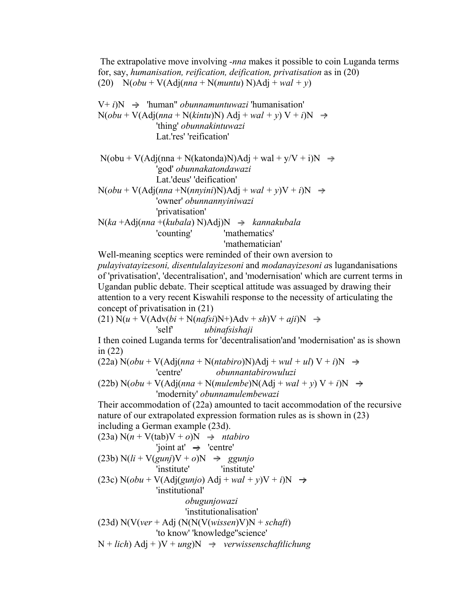The extrapolative move involving *-nna* makes it possible to coin Luganda terms for, say, *humanisation, reification, deification, privatisation* as in (20) (20)  $N(\text{obu} + V(\text{Adj}(nna + N(muntu))N)\text{Adj} + \text{wal} + y)$ 

 $V + i$ ) $N \rightarrow$  'human'' *obunnamuntuwazi* 'humanisation'  $N(obu + V(Adj(nna + N(kintu)N) Adj + wal + y) V + i)N \rightarrow$ 'thing' *obunnakintuwazi* Lat.'res' 'reification'

 $N(obu + V(Adj(nna + N(katonda)N)Adj + wal + y/V + i)N \rightarrow$ 'god' *obunnakatondawazi* Lat.'deus' 'deification'  $N(obu + V(Adj(nna + N(nnvini)N)Adj + wal + v)V + i)N \rightarrow$ 'owner' *obunnannyiniwazi* 'privatisation'  $N(ka + Adj(nna + (kubala) N)Adj)N \rightarrow kannakubala$ 'counting' 'mathematics'

'mathematician'

Well-meaning sceptics were reminded of their own aversion to *pulayivatayizesoni, disentulalayizesoni* and *modanayizesoni a*s lugandanisations of 'privatisation', 'decentralisation', and 'modernisation' which are current terms in Ugandan public debate. Their sceptical attitude was assuaged by drawing their attention to a very recent Kiswahili response to the necessity of articulating the concept of privatisation in (21)

 $(21)$  N( $u$  + V(Adv( $bi$  + N( $nafsi$ )N+)Adv +  $sh$ )V +  $ai$  $i$ )N  $\rightarrow$ 'self' *ubinafsishaji*

I then coined Luganda terms for 'decentralisation'and 'modernisation' as is shown in (22)

 $(22a) N(obu + V(Adj(nna + N(ntabiro)N)Adj + wul + ul) V + i)N \rightarrow$ 'centre' *obunnantabirowuluzi*

 $(22b) N(obu + V(Adj(nna + N(mulembe)N(Adj + wal + y) V + i)N \rightarrow$ 'modernity' *obunnamulembewazi*

Their accommodation of (22a) amounted to tacit accommodation of the recursive nature of our extrapolated expression formation rules as is shown in (23) including a German example (23d).

(23a) N(*n* + V(tab)V + *o*)N *ntabiro* 'joint at' 'centre' (23b) N(*li* + V(*gunj*)V + *o*)N *ggunjo* 'institute' 'institute' (23c) N(*obu* + V(Adj(*gunjo*) Adj + *wal + y*)V + *i*)N 'institutional' *obugunjowazi* 'institutionalisation' (23d) N(V(*ver* + Adj (N(N(V(*wissen*)V)N + *schaft*) 'to know' 'knowledge''science' N + *lich*) Adj + )V + *ung*)N *verwissenschaftlichung*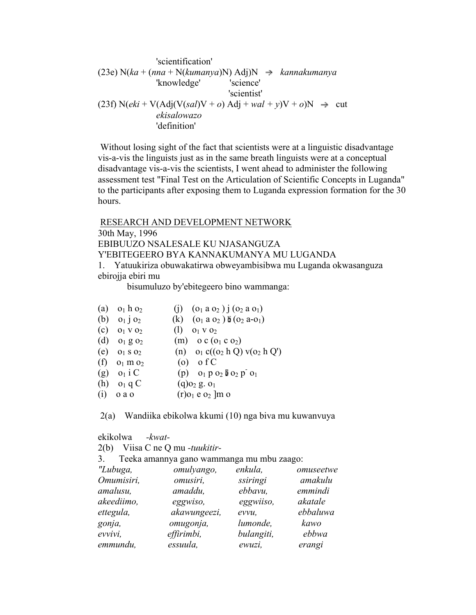'scientification' (23e)  $N(ka + (nna + N(kumanya)N) \text{Adj})N \rightarrow kannakumanya$ 'knowledge' 'science' 'scientist'  $(23f) N(eki + V(Adj(V(sa))V + o) Adj + wal + v)V + o)N \rightarrow cut$ *ekisalowazo* 'definition'

 Without losing sight of the fact that scientists were at a linguistic disadvantage vis-a-vis the linguists just as in the same breath linguists were at a conceptual disadvantage vis-a-vis the scientists, I went ahead to administer the following assessment test "Final Test on the Articulation of Scientific Concepts in Luganda" to the participants after exposing them to Luganda expression formation for the 30 hours.

 RESEARCH AND DEVELOPMENT NETWORK 30th May, 1996 EBIBUUZO NSALESALE KU NJASANGUZA Y'EBITEGEERO BYA KANNAKUMANYA MU LUGANDA 1. Yatuukiriza obuwakatirwa obweyambisibwa mu Luganda okwasanguza

ebirojja ebiri mu

bisumuluzo by'ebitegeero bino wammanga:

| (a) | $o_1$ h $o_2$            | (i) $(o_1 a o_2) j (o_2 a o_1)$          |
|-----|--------------------------|------------------------------------------|
| (b) | $01$ $02$                | (k) $(o_1 a o_2) b (o_2 a o_1)$          |
| (c) | $O_1$ V $O_2$            | (1)<br>$O1$ V $O2$                       |
| (d) | $O_1$ g $O_2$            | $(m)$ o c $(o_1$ c $o_2)$                |
|     | (e) $0_1$ s $0_2$        | (n) $o_1 c((o_2 h Q) v(o_2 h Q')$        |
| (f) | $o_1$ m $o_2$            | $(o)$ of C                               |
|     | $(g)$ $o_1$ i C          | (p) $o_1 p o_2 b o_2 p o_1$              |
|     | $(h)$ o <sub>1</sub> q C | $(q)$ o <sub>2</sub> g. o <sub>1</sub>   |
| (i) | o a o                    | $(r)$ <sub>01</sub> e <sub>02</sub> ]m o |

2(a) Wandiika ebikolwa kkumi (10) nga biva mu kuwanvuya

| ekikolwa   | $-kwat-$                                  |            |           |
|------------|-------------------------------------------|------------|-----------|
| 2(b)       | Viisa C ne Q mu -tuukitir-                |            |           |
| 3.         | Teeka amannya gano wammanga mu mbu zaago: |            |           |
| "Lubuga,   | omulyango,                                | enkula,    | omuseetwe |
| Omumisiri, | omusiri,                                  | ssiringi   | amakulu   |
| amalusu,   | amaddu,                                   | ebbavu,    | emmindi   |
| akeediimo, | eggwiso,                                  | eggwiiso,  | akatale   |
| ettegula,  | akawungeezi,                              | evvu,      | ebbaluwa  |
| gonja,     | omugonja,                                 | lumonde,   | kawo      |
| evvivi,    | effirimbi,                                | bulangiti, | ebbwa     |
| emmundu,   | essuula,                                  | ewuzi,     | erangi    |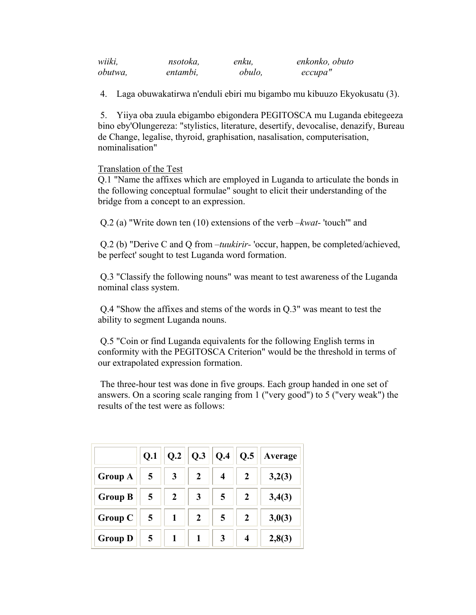| wiiki,  | nsotoka, | enku,  | enkonko, obuto |
|---------|----------|--------|----------------|
| obutwa, | entambi, | obulo, | ессира"        |

4. Laga obuwakatirwa n'enduli ebiri mu bigambo mu kibuuzo Ekyokusatu (3).

 5. Yiiya oba zuula ebigambo ebigondera PEGITOSCA mu Luganda ebitegeeza bino eby'Olungereza: "stylistics, literature, desertify, devocalise, denazify, Bureau de Change, legalise, thyroid, graphisation, nasalisation, computerisation, nominalisation"

## Translation of the Test

Q.1 "Name the affixes which are employed in Luganda to articulate the bonds in the following conceptual formulae" sought to elicit their understanding of the bridge from a concept to an expression.

Q.2 (a) "Write down ten (10) extensions of the verb *–kwat-* 'touch'" and

 Q.2 (b) "Derive C and Q from *–tuukirir-* 'occur, happen, be completed/achieved, be perfect' sought to test Luganda word formation.

 Q.3 "Classify the following nouns" was meant to test awareness of the Luganda nominal class system.

 Q.4 "Show the affixes and stems of the words in Q.3" was meant to test the ability to segment Luganda nouns.

 Q.5 "Coin or find Luganda equivalents for the following English terms in conformity with the PEGITOSCA Criterion" would be the threshold in terms of our extrapolated expression formation.

 The three-hour test was done in five groups. Each group handed in one set of answers. On a scoring scale ranging from 1 ("very good") to 5 ("very weak") the results of the test were as follows:

|                | Q.1            |                  | $Q.2$   $Q.3$    | $\vert$ Q.4 | Q.5              | Average |
|----------------|----------------|------------------|------------------|-------------|------------------|---------|
| <b>Group A</b> | $\overline{5}$ | 3                | 2                | 4           | 2                | 3,2(3)  |
| <b>Group B</b> | 5              | $\boldsymbol{2}$ | 3                | 5           | $\boldsymbol{2}$ | 3,4(3)  |
| <b>Group C</b> | $\overline{5}$ |                  | $\boldsymbol{2}$ | 5           | $\boldsymbol{2}$ | 3,0(3)  |
| <b>Group D</b> | $\overline{5}$ |                  |                  | 3           | $\boldsymbol{4}$ | 2,8(3)  |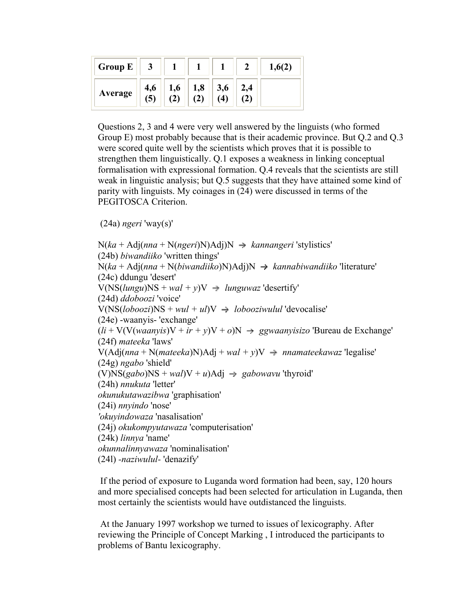| <b>Group E</b> |     |     |     |     |     |  |
|----------------|-----|-----|-----|-----|-----|--|
| Average        | 4,6 | 1,6 | 1,8 | 3,6 | 2,4 |  |

Questions 2, 3 and 4 were very well answered by the linguists (who formed Group E) most probably because that is their academic province. But Q.2 and Q.3 were scored quite well by the scientists which proves that it is possible to strengthen them linguistically. Q.1 exposes a weakness in linking conceptual formalisation with expressional formation. Q.4 reveals that the scientists are still weak in linguistic analysis; but Q.5 suggests that they have attained some kind of parity with linguists. My coinages in (24) were discussed in terms of the PEGITOSCA Criterion.

```
 (24a) ngeri 'way(s)'
```

```
N(ka + Adj(nna + N(ngeri)N)Adj)N \rightarrow kannangeri'stylistics'(24b) biwandiiko 'written things' 
N(ka + Adj(nna + N(biwandiko)N)Adj)N \rightarrow kannabiwandiiko' literature'(24c) ddungu 'desert' 
V(NS(lungu)NS + wal + y)V \rightarrow lunguwaz 'desertify'
(24d) ddoboozi 'voice' 
V(NS(loboozi)NS + wul + ul)V \rightarrow lobooziwulul 'devocalise'(24e) -waanyis- 'exchange' 
(li + V(V(waanvis)V + ir + y)V + o)N \rightarrow ggwaanvisizo' Bureau de Exchange'(24f) mateeka 'laws' 
V(Adj(nna + N(mateeka)N)Adj + wal + v)V \rightarrow nnamateekawaz 'legalise'
(24g) ngabo 'shield' 
(V)NS(gabo)NS + wal)V + u)Adj \rightarrow gabowavu'thyroid'(24h) nnukuta 'letter' 
okunukutawazibwa 'graphisation' 
(24i) nnyindo 'nose' 
'okuyindowaza 'nasalisation' 
(24j) okukompyutawaza 'computerisation' 
(24k) linnya 'name' 
okunnalinnyawaza 'nominalisation' 
(24l) -naziwulul- 'denazify'
```
 If the period of exposure to Luganda word formation had been, say, 120 hours and more specialised concepts had been selected for articulation in Luganda, then most certainly the scientists would have outdistanced the linguists.

 At the January 1997 workshop we turned to issues of lexicography. After reviewing the Principle of Concept Marking , I introduced the participants to problems of Bantu lexicography.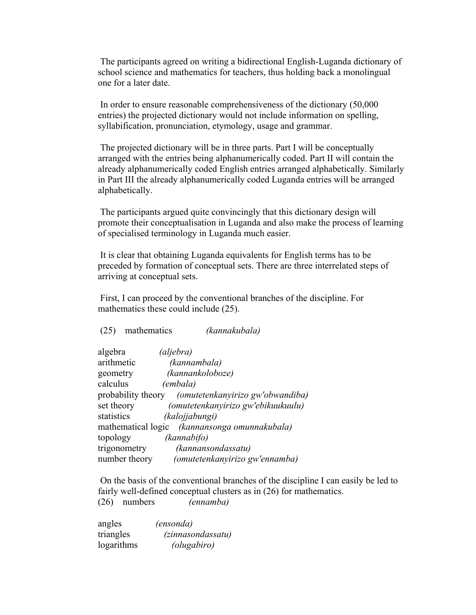The participants agreed on writing a bidirectional English-Luganda dictionary of school science and mathematics for teachers, thus holding back a monolingual one for a later date.

 In order to ensure reasonable comprehensiveness of the dictionary (50,000 entries) the projected dictionary would not include information on spelling, syllabification, pronunciation, etymology, usage and grammar.

 The projected dictionary will be in three parts. Part I will be conceptually arranged with the entries being alphanumerically coded. Part II will contain the already alphanumerically coded English entries arranged alphabetically. Similarly in Part III the already alphanumerically coded Luganda entries will be arranged alphabetically.

 The participants argued quite convincingly that this dictionary design will promote their conceptualisation in Luganda and also make the process of learning of specialised terminology in Luganda much easier.

 It is clear that obtaining Luganda equivalents for English terms has to be preceded by formation of conceptual sets. There are three interrelated steps of arriving at conceptual sets.

 First, I can proceed by the conventional branches of the discipline. For mathematics these could include (25).

(25) mathematics *(kannakubala)*

| algebra       | (aljebra)                                           |
|---------------|-----------------------------------------------------|
| arithmetic    | (kannambala)                                        |
| geometry      | (kannankoloboze)                                    |
| calculus      | (embala)                                            |
|               | probability theory (omutetenkanyirizo gw'obwandiba) |
| set theory    | (omutetenkanyirizo gw'ebikuukuulu)                  |
| statistics    | (kalojjabungi)                                      |
|               | mathematical logic (kannansonga omunnakubala)       |
| topology      | (kannabifo)                                         |
| trigonometry  | (kannansondassatu)                                  |
| number theory | (omutetenkanyirizo gw'ennamba)                      |

 On the basis of the conventional branches of the discipline I can easily be led to fairly well-defined conceptual clusters as in (26) for mathematics. (26) numbers *(ennamba)*

angles *(ensonda)* triangles *(zinnasondassatu)* logarithms *(olugabiro)*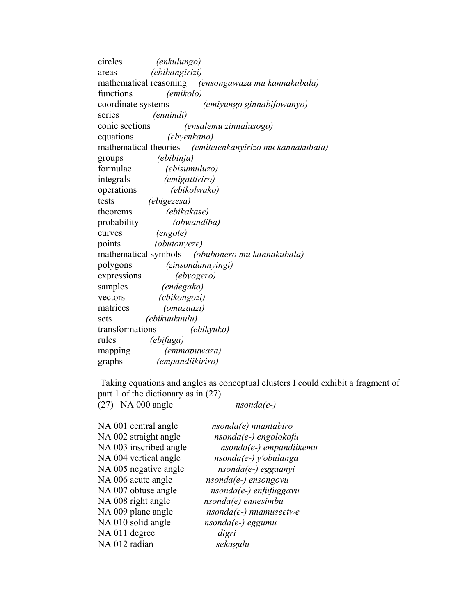circles *(enkulungo)* areas *(ebibangirizi)* mathematical reasoning *(ensongawaza mu kannakubala)* functions *(emikolo)* coordinate systems *(emiyungo ginnabifowanyo)* series *(ennindi)* conic sections *(ensalemu zinnalusogo)* equations *(ebyenkano)* mathematical theories *(emitetenkanyirizo mu kannakubala)* groups *(ebibinja)* formulae *(ebisumuluzo)* integrals *(emigattiriro)* operations *(ebikolwako)* tests *(ebigezesa)* theorems *(ebikakase)* probability *(obwandiba)* curves *(engote)* points *(obutonyeze)* mathematical symbols *(obubonero mu kannakubala)* polygons *(zinsondannyingi)* expressions *(ebyogero)* samples *(endegako)* vectors *(ebikongozi)* matrices *(omuzaazi)* sets *(ebikuukuulu)* transformations *(ebikyuko)* rules *(ebifuga)* mapping *(emmapuwaza)* graphs *(empandiikiriro)*

 Taking equations and angles as conceptual clusters I could exhibit a fragment of part 1 of the dictionary as in (27) (27) NA 000 angle *nsonda(e-)*

| NA 001 central angle   | $nsonda(e)$ nnantabiro    |
|------------------------|---------------------------|
| NA 002 straight angle  | $nsonda(e-)engolokofu$    |
| NA 003 inscribed angle | $nsonda(e-)$ empandiikemu |
| NA 004 vertical angle  | nsonda(e-) y'obulanga     |
| NA 005 negative angle  | $nsonda(e-)eggaanyi$      |
| NA 006 acute angle     | nsonda(e-) ensongovu      |
| NA 007 obtuse angle    | nsonda(e-) enfufuggavu    |
| NA 008 right angle     | $nsonda(e)$ ennesimbu     |
| NA 009 plane angle     | $nsonda(e-)$ nnamuseetwe  |
| NA 010 solid angle     | $nsonda(e-)eggumu$        |
| NA 011 degree          | digri                     |
| NA 012 radian          | sekagulu                  |
|                        |                           |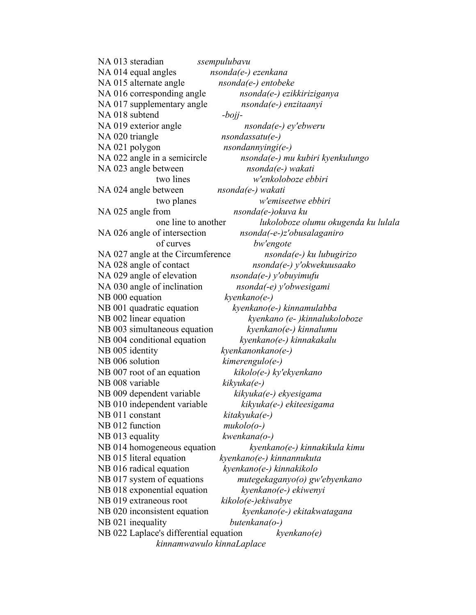NA 013 steradian *ssempulubavu* NA 014 equal angles *nsonda(e-) ezenkana* NA 015 alternate angle *nsonda(e-) entobeke* NA 016 corresponding angle *nsonda(e-) ezikkiriziganya* NA 017 supplementary angle *nsonda(e-) enzitaanyi* NA 018 subtend *-bojj-*NA 019 exterior angle *nsonda(e-) ey'ebweru* NA 020 triangle *nsondassatu(e-)* NA 021 polygon *nsondannyingi(e-)* NA 022 angle in a semicircle *nsonda(e-) mu kubiri kyenkulungo* NA 023 angle between *nsonda(e-) wakati* two lines *w'enkoloboze ebbiri* NA 024 angle between *nsonda(e-) wakati* two planes *w'emiseetwe ebbiri* NA 025 angle from *nsonda(e-)okuva ku* one line to another *lukoloboze olumu okugenda ku lulala* NA 026 angle of intersection *nsonda(-e-)z'obusalaganiro* of curves *bw'engote* NA 027 angle at the Circumference *nsonda(e-) ku lubugirizo* NA 028 angle of contact *nsonda(e-) y'okwekuusaako* NA 029 angle of elevation *nsonda(e-) y'obuyimufu* NA 030 angle of inclination *nsonda(-e) y'obwesigami* NB 000 equation *kyenkano(e-)* NB 001 quadratic equation *kyenkano(e-) kinnamulabba* NB 002 linear equation *kyenkano (e- )kinnalukoloboze* NB 003 simultaneous equation *kyenkano(e-) kinnalumu* NB 004 conditional equation *kyenkano(e-) kinnakakalu* NB 005 identity *kyenkanonkano(e-)* NB 006 solution *kimerengulo(e-)* NB 007 root of an equation *kikolo(e-) ky'ekyenkano* NB 008 variable *kikyuka(e-)* NB 009 dependent variable *kikyuka(e-) ekyesigama* NB 010 independent variable *kikyuka(e-) ekiteesigama* NB 011 constant *kitakyuka(e-)* NB 012 function *mukolo(o-)* NB 013 equality *kwenkana(o-)* NB 014 homogeneous equation *kyenkano(e-) kinnakikula kimu* NB 015 literal equation *kyenkano(e-) kinnannukuta* NB 016 radical equation *kyenkano(e-) kinnakikolo* NB 017 system of equations *mutegekaganyo(o) gw'ebyenkano* NB 018 exponential equation *kyenkano(e-) ekiwenyi* NB 019 extraneous root *kikolo(e-)ekiwabye* NB 020 inconsistent equation *kyenkano(e-) ekitakwatagana* NB 021 inequality *butenkana(o-)* NB 022 Laplace's differential equation *kyenkano(e) kinnamwawulo kinnaLaplace*